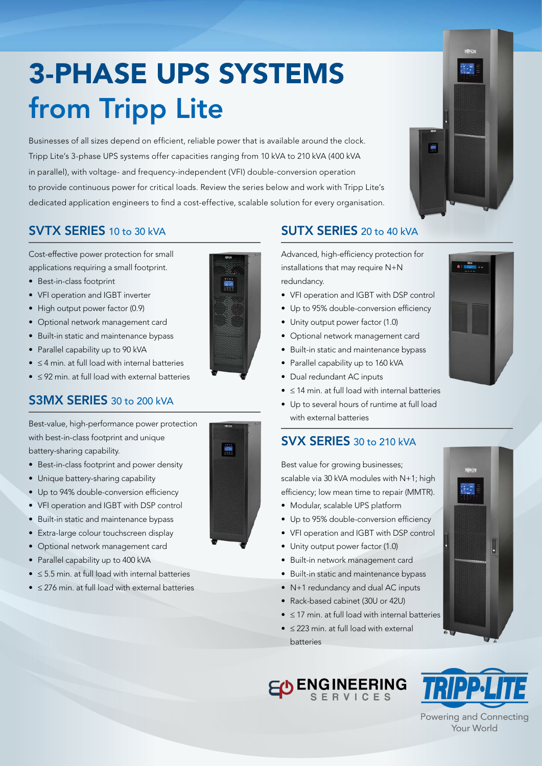# 3-PHASE UPS SYSTEMS from Tripp Lite

Businesses of all sizes depend on efficient, reliable power that is available around the clock. Tripp Lite's 3-phase UPS systems offer capacities ranging from 10 kVA to 210 kVA (400 kVA in parallel), with voltage- and frequency-independent (VFI) double-conversion operation to provide continuous power for critical loads. Review the series below and work with Tripp Lite's dedicated application engineers to find a cost-effective, scalable solution for every organisation.



### SVTX SERIES 10 to 30 kVA

Cost-effective power protection for small applications requiring a small footprint.

- Best-in-class footprint
- VFI operation and IGBT inverter
- High output power factor (0.9)
- Optional network management card
- Built-in static and maintenance bypass
- Parallel capability up to 90 kVA
- ≤ 4 min. at full load with internal batteries
- ≤ 92 min. at full load with external batteries

## S3MX SERIES 30 to 200 kVA

Best-value, high-performance power protection with best-in-class footprint and unique battery-sharing capability.

- Best-in-class footprint and power density
- Unique battery-sharing capability
- Up to 94% double-conversion efficiency
- VFI operation and IGBT with DSP control
- Built-in static and maintenance bypass
- Extra-large colour touchscreen display
- Optional network management card
- Parallel capability up to 400 kVA
- ≤ 5.5 min. at full load with internal batteries
- ≤ 276 min. at full load with external batteries



#### SUTX SERIES 20 to 40 kVA

Advanced, high-efficiency protection for installations that may require N+N redundancy.

- VFI operation and IGBT with DSP control
- Up to 95% double-conversion efficiency
- Unity output power factor (1.0)
- Optional network management card
- Built-in static and maintenance bypass
- Parallel capability up to 160 kVA
- Dual redundant AC inputs
- ≤ 14 min. at full load with internal batteries
- Up to several hours of runtime at full load with external batteries

### SVX SERIES 30 to 210 kVA

Best value for growing businesses: scalable via 30 kVA modules with N+1; high efficiency; low mean time to repair (MMTR).

- Modular, scalable UPS platform
- Up to 95% double-conversion efficiency
- VFI operation and IGBT with DSP control
- Unity output power factor (1.0)
- Built-in network management card
- Built-in static and maintenance bypass
- N+1 redundancy and dual AC inputs
- Rack-based cabinet (30U or 42U)
- ≤ 17 min. at full load with internal batteries
- ≤ 223 min. at full load with external batteries





Powering and Connecting Your World